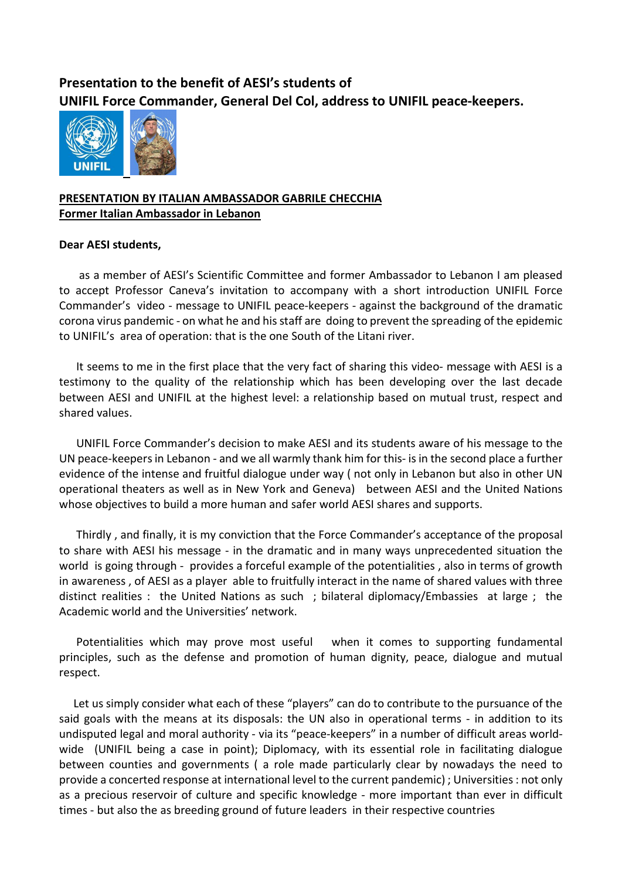## Presentation to the benefit of AESI's students of UNIFIL Force Commander, General Del Col, address to UNIFIL peace-keepers.



## PRESENTATION BY ITALIAN AMBASSADOR GABRILE CHECCHIA Former Italian Ambassador in Lebanon

## Dear AESI students,

 as a member of AESI's Scientific Committee and former Ambassador to Lebanon I am pleased to accept Professor Caneva's invitation to accompany with a short introduction UNIFIL Force Commander's video - message to UNIFIL peace-keepers - against the background of the dramatic corona virus pandemic - on what he and his staff are doing to prevent the spreading of the epidemic to UNIFIL's area of operation: that is the one South of the Litani river.

 It seems to me in the first place that the very fact of sharing this video- message with AESI is a testimony to the quality of the relationship which has been developing over the last decade between AESI and UNIFIL at the highest level: a relationship based on mutual trust, respect and shared values.

 UNIFIL Force Commander's decision to make AESI and its students aware of his message to the UN peace-keepers in Lebanon - and we all warmly thank him for this- is in the second place a further evidence of the intense and fruitful dialogue under way ( not only in Lebanon but also in other UN operational theaters as well as in New York and Geneva) between AESI and the United Nations whose objectives to build a more human and safer world AESI shares and supports.

 Thirdly , and finally, it is my conviction that the Force Commander's acceptance of the proposal to share with AESI his message - in the dramatic and in many ways unprecedented situation the world is going through - provides a forceful example of the potentialities , also in terms of growth in awareness , of AESI as a player able to fruitfully interact in the name of shared values with three distinct realities : the United Nations as such ; bilateral diplomacy/Embassies at large ; the Academic world and the Universities' network.

 Potentialities which may prove most useful when it comes to supporting fundamental principles, such as the defense and promotion of human dignity, peace, dialogue and mutual respect.

 Let us simply consider what each of these "players" can do to contribute to the pursuance of the said goals with the means at its disposals: the UN also in operational terms - in addition to its undisputed legal and moral authority - via its "peace-keepers" in a number of difficult areas worldwide (UNIFIL being a case in point); Diplomacy, with its essential role in facilitating dialogue between counties and governments ( a role made particularly clear by nowadays the need to provide a concerted response at international level to the current pandemic) ; Universities : not only as a precious reservoir of culture and specific knowledge - more important than ever in difficult times - but also the as breeding ground of future leaders in their respective countries